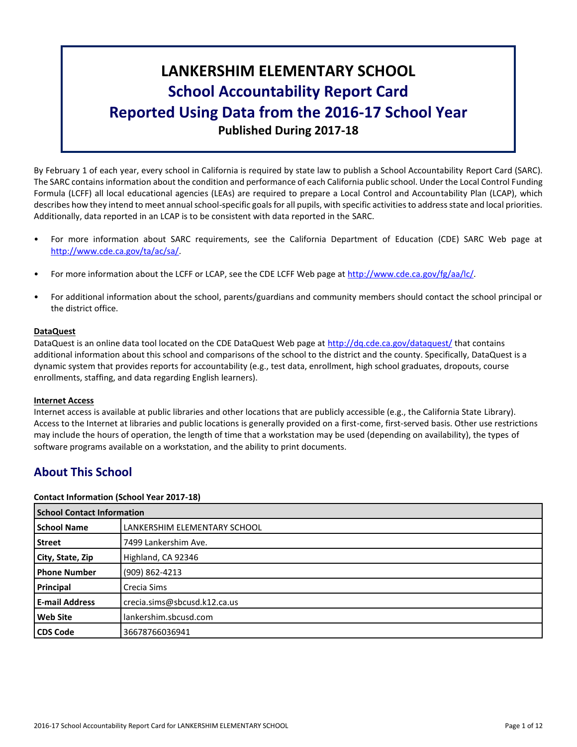# **LANKERSHIM ELEMENTARY SCHOOL School Accountability Report Card Reported Using Data from the 2016-17 School Year Published During 2017-18**

By February 1 of each year, every school in California is required by state law to publish a School Accountability Report Card (SARC). The SARC contains information about the condition and performance of each California public school. Under the Local Control Funding Formula (LCFF) all local educational agencies (LEAs) are required to prepare a Local Control and Accountability Plan (LCAP), which describes how they intend to meet annual school-specific goals for all pupils, with specific activities to address state and local priorities. Additionally, data reported in an LCAP is to be consistent with data reported in the SARC.

- For more information about SARC requirements, see the California Department of Education (CDE) SARC Web page at [http://www.cde.ca.gov/ta/ac/sa/.](http://www.cde.ca.gov/ta/ac/sa/)
- For more information about the LCFF or LCAP, see the CDE LCFF Web page at [http://www.cde.ca.gov/fg/aa/lc/.](http://www.cde.ca.gov/fg/aa/lc/)
- For additional information about the school, parents/guardians and community members should contact the school principal or the district office.

#### **DataQuest**

DataQuest is an online data tool located on the CDE DataQuest Web page at<http://dq.cde.ca.gov/dataquest/> that contains additional information about this school and comparisons of the school to the district and the county. Specifically, DataQuest is a dynamic system that provides reports for accountability (e.g., test data, enrollment, high school graduates, dropouts, course enrollments, staffing, and data regarding English learners).

#### **Internet Access**

Internet access is available at public libraries and other locations that are publicly accessible (e.g., the California State Library). Access to the Internet at libraries and public locations is generally provided on a first-come, first-served basis. Other use restrictions may include the hours of operation, the length of time that a workstation may be used (depending on availability), the types of software programs available on a workstation, and the ability to print documents.

# **About This School**

#### **Contact Information (School Year 2017-18)**

| <b>School Contact Information</b> |                              |
|-----------------------------------|------------------------------|
| <b>School Name</b>                | LANKERSHIM ELEMENTARY SCHOOL |
| <b>Street</b>                     | 7499 Lankershim Ave.         |
| City, State, Zip                  | Highland, CA 92346           |
| <b>Phone Number</b>               | (909) 862-4213               |
| Principal                         | Crecia Sims                  |
| <b>E-mail Address</b>             | crecia.sims@sbcusd.k12.ca.us |
| <b>Web Site</b>                   | lankershim.sbcusd.com        |
| <b>CDS Code</b>                   | 36678766036941               |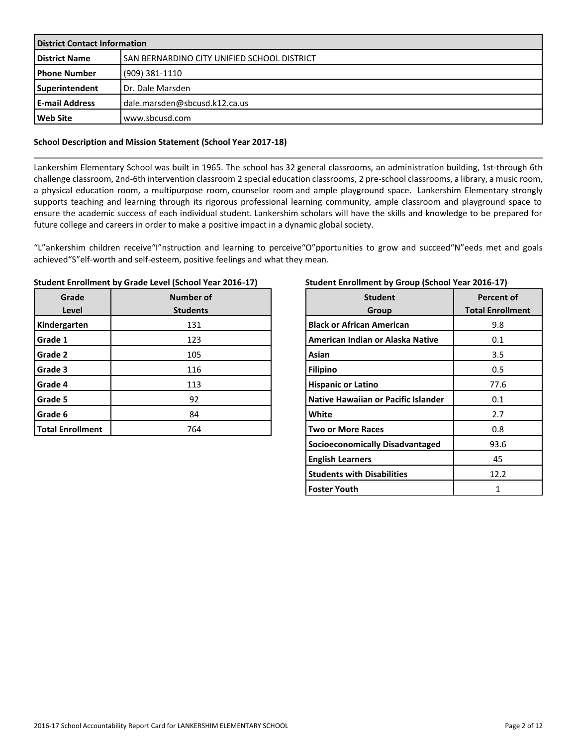| <b>District Contact Information</b> |                                              |  |  |  |
|-------------------------------------|----------------------------------------------|--|--|--|
| <b>District Name</b>                | ISAN BERNARDINO CITY UNIFIED SCHOOL DISTRICT |  |  |  |
| l Phone Number                      | $(909)$ 381-1110                             |  |  |  |
| Superintendent                      | Dr. Dale Marsden                             |  |  |  |
| l E-mail Address                    | dale.marsden@sbcusd.k12.ca.us                |  |  |  |
| <b>Web Site</b>                     | www.sbcusd.com                               |  |  |  |

#### **School Description and Mission Statement (School Year 2017-18)**

Lankershim Elementary School was built in 1965. The school has 32 general classrooms, an administration building, 1st-through 6th challenge classroom, 2nd-6th intervention classroom 2 special education classrooms, 2 pre-school classrooms, a library, a music room, a physical education room, a multipurpose room, counselor room and ample playground space. Lankershim Elementary strongly supports teaching and learning through its rigorous professional learning community, ample classroom and playground space to ensure the academic success of each individual student. Lankershim scholars will have the skills and knowledge to be prepared for future college and careers in order to make a positive impact in a dynamic global society.

"L"ankershim children receive"I"nstruction and learning to perceive"O"pportunities to grow and succeed"N"eeds met and goals achieved"S"elf-worth and self-esteem, positive feelings and what they mean.

| Grade<br>Level          | Number of<br><b>Students</b> |
|-------------------------|------------------------------|
| Kindergarten            | 131                          |
| Grade 1                 | 123                          |
| Grade 2                 | 105                          |
| Grade 3                 | 116                          |
| Grade 4                 | 113                          |
| Grade 5                 | 92                           |
| Grade 6                 | 84                           |
| <b>Total Enrollment</b> | 764                          |

#### **Student Enrollment by Grade Level (School Year 2016-17)**

#### **Student Enrollment by Group (School Year 2016-17)**

| <b>Student</b><br>Group                    | <b>Percent of</b><br><b>Total Enrollment</b> |
|--------------------------------------------|----------------------------------------------|
| <b>Black or African American</b>           | 9.8                                          |
| American Indian or Alaska Native           | 0.1                                          |
| Asian                                      | 3.5                                          |
| <b>Filipino</b>                            | 0.5                                          |
| <b>Hispanic or Latino</b>                  | 77.6                                         |
| <b>Native Hawaiian or Pacific Islander</b> | 0.1                                          |
| White                                      | 2.7                                          |
| <b>Two or More Races</b>                   | 0.8                                          |
| Socioeconomically Disadvantaged            | 93.6                                         |
| <b>English Learners</b>                    | 45                                           |
| <b>Students with Disabilities</b>          | 12.2                                         |
| <b>Foster Youth</b>                        | 1                                            |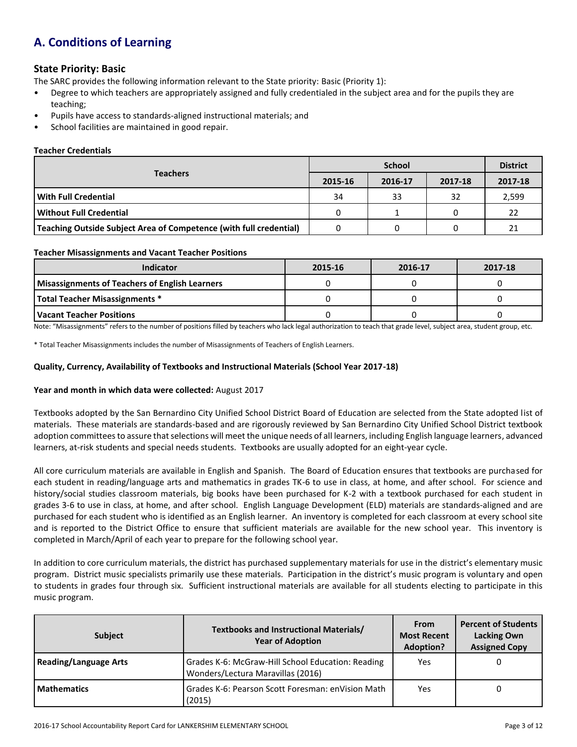# **A. Conditions of Learning**

### **State Priority: Basic**

The SARC provides the following information relevant to the State priority: Basic (Priority 1):

- Degree to which teachers are appropriately assigned and fully credentialed in the subject area and for the pupils they are teaching;
- Pupils have access to standards-aligned instructional materials; and
- School facilities are maintained in good repair.

#### **Teacher Credentials**

|                                                                    |         | <b>District</b> |         |         |
|--------------------------------------------------------------------|---------|-----------------|---------|---------|
| <b>Teachers</b>                                                    | 2015-16 | 2016-17         | 2017-18 | 2017-18 |
| <b>With Full Credential</b>                                        | 34      | 33              | 32      | 2,599   |
| <b>Without Full Credential</b>                                     | 0       |                 |         | 22      |
| Teaching Outside Subject Area of Competence (with full credential) |         |                 |         | 21      |

#### **Teacher Misassignments and Vacant Teacher Positions**

| Indicator                                             | 2015-16 | 2016-17 | 2017-18 |
|-------------------------------------------------------|---------|---------|---------|
| <b>Misassignments of Teachers of English Learners</b> |         |         |         |
| Total Teacher Misassignments *                        |         |         |         |
| l Vacant Teacher Positions                            |         |         |         |

Note: "Misassignments" refers to the number of positions filled by teachers who lack legal authorization to teach that grade level, subject area, student group, etc.

\* Total Teacher Misassignments includes the number of Misassignments of Teachers of English Learners.

#### **Quality, Currency, Availability of Textbooks and Instructional Materials (School Year 2017-18)**

#### **Year and month in which data were collected:** August 2017

Textbooks adopted by the San Bernardino City Unified School District Board of Education are selected from the State adopted list of materials. These materials are standards-based and are rigorously reviewed by San Bernardino City Unified School District textbook adoption committees to assure that selections will meet the unique needs of all learners, including English language learners, advanced learners, at-risk students and special needs students. Textbooks are usually adopted for an eight-year cycle.

All core curriculum materials are available in English and Spanish. The Board of Education ensures that textbooks are purchased for each student in reading/language arts and mathematics in grades TK-6 to use in class, at home, and after school. For science and history/social studies classroom materials, big books have been purchased for K-2 with a textbook purchased for each student in grades 3-6 to use in class, at home, and after school. English Language Development (ELD) materials are standards-aligned and are purchased for each student who is identified as an English learner. An inventory is completed for each classroom at every school site and is reported to the District Office to ensure that sufficient materials are available for the new school year. This inventory is completed in March/April of each year to prepare for the following school year.

In addition to core curriculum materials, the district has purchased supplementary materials for use in the district's elementary music program. District music specialists primarily use these materials. Participation in the district's music program is voluntary and open to students in grades four through six. Sufficient instructional materials are available for all students electing to participate in this music program.

| <b>Subject</b>               | Textbooks and Instructional Materials/<br><b>Year of Adoption</b>                      | <b>From</b><br><b>Most Recent</b><br><b>Adoption?</b> | <b>Percent of Students</b><br><b>Lacking Own</b><br><b>Assigned Copy</b> |
|------------------------------|----------------------------------------------------------------------------------------|-------------------------------------------------------|--------------------------------------------------------------------------|
| <b>Reading/Language Arts</b> | Grades K-6: McGraw-Hill School Education: Reading<br>Wonders/Lectura Maravillas (2016) | Yes                                                   |                                                                          |
| <b>Mathematics</b>           | Grades K-6: Pearson Scott Foresman: enVision Math<br>(2015)                            | Yes                                                   |                                                                          |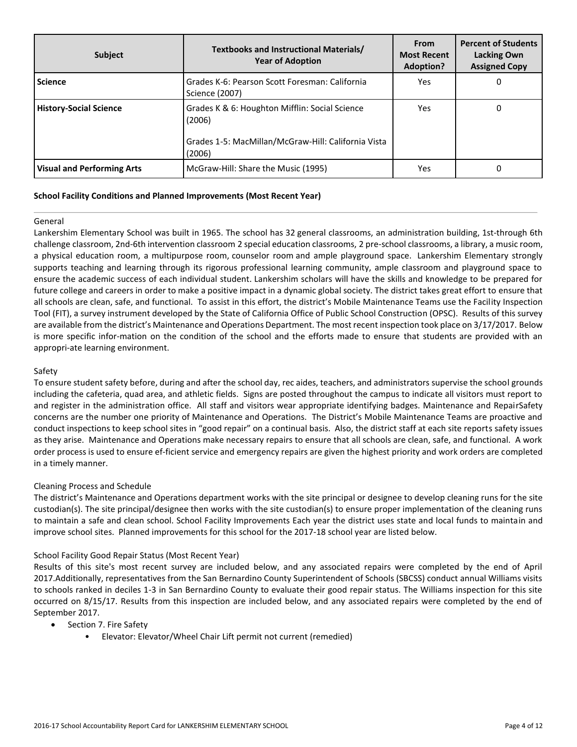| <b>Subject</b>                    | Textbooks and Instructional Materials/<br><b>Year of Adoption</b>                                                         | <b>From</b><br><b>Most Recent</b><br>Adoption? | <b>Percent of Students</b><br><b>Lacking Own</b><br><b>Assigned Copy</b> |
|-----------------------------------|---------------------------------------------------------------------------------------------------------------------------|------------------------------------------------|--------------------------------------------------------------------------|
| <b>Science</b>                    | Grades K-6: Pearson Scott Foresman: California<br>Science (2007)                                                          | Yes                                            | 0                                                                        |
| <b>History-Social Science</b>     | Grades K & 6: Houghton Mifflin: Social Science<br>(2006)<br>Grades 1-5: MacMillan/McGraw-Hill: California Vista<br>(2006) | Yes                                            | 0                                                                        |
| <b>Visual and Performing Arts</b> | McGraw-Hill: Share the Music (1995)                                                                                       | Yes.                                           |                                                                          |

#### **School Facility Conditions and Planned Improvements (Most Recent Year)**

#### General

Lankershim Elementary School was built in 1965. The school has 32 general classrooms, an administration building, 1st-through 6th challenge classroom, 2nd-6th intervention classroom 2 special education classrooms, 2 pre-school classrooms, a library, a music room, a physical education room, a multipurpose room, counselor room and ample playground space. Lankershim Elementary strongly supports teaching and learning through its rigorous professional learning community, ample classroom and playground space to ensure the academic success of each individual student. Lankershim scholars will have the skills and knowledge to be prepared for future college and careers in order to make a positive impact in a dynamic global society. The district takes great effort to ensure that all schools are clean, safe, and functional. To assist in this effort, the district's Mobile Maintenance Teams use the Facility Inspection Tool (FIT), a survey instrument developed by the State of California Office of Public School Construction (OPSC). Results of this survey are available from the district's Maintenance and Operations Department. The most recent inspection took place on 3/17/2017. Below is more specific infor-mation on the condition of the school and the efforts made to ensure that students are provided with an appropri-ate learning environment.

#### Safety

To ensure student safety before, during and after the school day, rec aides, teachers, and administrators supervise the school grounds including the cafeteria, quad area, and athletic fields. Signs are posted throughout the campus to indicate all visitors must report to and register in the administration office. All staff and visitors wear appropriate identifying badges. Maintenance and RepairSafety concerns are the number one priority of Maintenance and Operations. The District's Mobile Maintenance Teams are proactive and conduct inspections to keep school sites in "good repair" on a continual basis. Also, the district staff at each site reports safety issues as they arise. Maintenance and Operations make necessary repairs to ensure that all schools are clean, safe, and functional. A work order process is used to ensure ef-ficient service and emergency repairs are given the highest priority and work orders are completed in a timely manner.

#### Cleaning Process and Schedule

The district's Maintenance and Operations department works with the site principal or designee to develop cleaning runs for the site custodian(s). The site principal/designee then works with the site custodian(s) to ensure proper implementation of the cleaning runs to maintain a safe and clean school. School Facility Improvements Each year the district uses state and local funds to maintain and improve school sites. Planned improvements for this school for the 2017-18 school year are listed below.

#### School Facility Good Repair Status (Most Recent Year)

Results of this site's most recent survey are included below, and any associated repairs were completed by the end of April 2017.Additionally, representatives from the San Bernardino County Superintendent of Schools (SBCSS) conduct annual Williams visits to schools ranked in deciles 1-3 in San Bernardino County to evaluate their good repair status. The Williams inspection for this site occurred on 8/15/17. Results from this inspection are included below, and any associated repairs were completed by the end of September 2017.

- Section 7. Fire Safety
	- Elevator: Elevator/Wheel Chair Lift permit not current (remedied)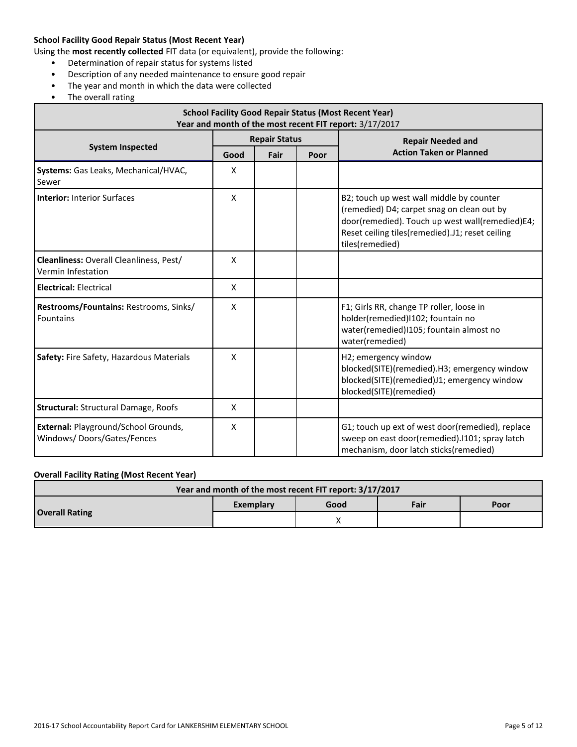#### **School Facility Good Repair Status (Most Recent Year)**

Using the **most recently collected** FIT data (or equivalent), provide the following:

- Determination of repair status for systems listed
- Description of any needed maintenance to ensure good repair
- The year and month in which the data were collected
- The overall rating

| <b>School Facility Good Repair Status (Most Recent Year)</b><br>Year and month of the most recent FIT report: 3/17/2017 |              |                      |  |                                                                                                                                                                                                                 |  |  |
|-------------------------------------------------------------------------------------------------------------------------|--------------|----------------------|--|-----------------------------------------------------------------------------------------------------------------------------------------------------------------------------------------------------------------|--|--|
|                                                                                                                         |              | <b>Repair Status</b> |  | <b>Repair Needed and</b>                                                                                                                                                                                        |  |  |
| <b>System Inspected</b>                                                                                                 | Good         | Fair                 |  | <b>Action Taken or Planned</b>                                                                                                                                                                                  |  |  |
| Systems: Gas Leaks, Mechanical/HVAC,<br>Sewer                                                                           | X            |                      |  |                                                                                                                                                                                                                 |  |  |
| <b>Interior: Interior Surfaces</b>                                                                                      | X            |                      |  | B2; touch up west wall middle by counter<br>(remedied) D4; carpet snag on clean out by<br>door(remedied). Touch up west wall(remedied)E4;<br>Reset ceiling tiles(remedied).J1; reset ceiling<br>tiles(remedied) |  |  |
| <b>Cleanliness:</b> Overall Cleanliness, Pest/<br>Vermin Infestation                                                    | $\mathsf{x}$ |                      |  |                                                                                                                                                                                                                 |  |  |
| <b>Electrical: Electrical</b>                                                                                           | $\mathsf{x}$ |                      |  |                                                                                                                                                                                                                 |  |  |
| Restrooms/Fountains: Restrooms, Sinks/<br>Fountains                                                                     | X            |                      |  | F1; Girls RR, change TP roller, loose in<br>holder(remedied)1102; fountain no<br>water(remedied)1105; fountain almost no<br>water(remedied)                                                                     |  |  |
| Safety: Fire Safety, Hazardous Materials                                                                                | $\mathsf{x}$ |                      |  | H2; emergency window<br>blocked(SITE)(remedied).H3; emergency window<br>blocked(SITE)(remedied)J1; emergency window<br>blocked(SITE)(remedied)                                                                  |  |  |
| <b>Structural: Structural Damage, Roofs</b>                                                                             | X            |                      |  |                                                                                                                                                                                                                 |  |  |
| External: Playground/School Grounds,<br>Windows/Doors/Gates/Fences                                                      | X            |                      |  | G1; touch up ext of west door(remedied), replace<br>sweep on east door(remedied).1101; spray latch<br>mechanism, door latch sticks(remedied)                                                                    |  |  |

# **Overall Facility Rating (Most Recent Year)**

| Year and month of the most recent FIT report: 3/17/2017 |           |      |      |      |  |  |
|---------------------------------------------------------|-----------|------|------|------|--|--|
|                                                         | Exemplary | Good | Fair | Poor |  |  |
| <b>Overall Rating</b>                                   |           |      |      |      |  |  |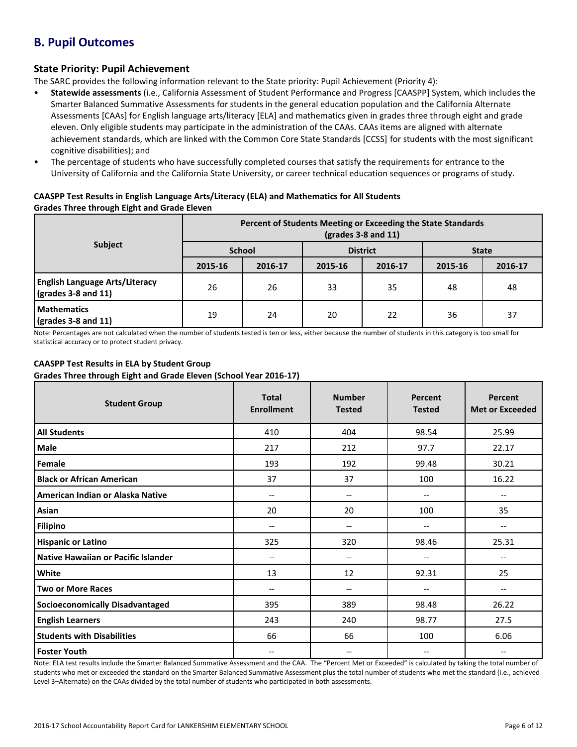# **B. Pupil Outcomes**

### **State Priority: Pupil Achievement**

The SARC provides the following information relevant to the State priority: Pupil Achievement (Priority 4):

- **Statewide assessments** (i.e., California Assessment of Student Performance and Progress [CAASPP] System, which includes the Smarter Balanced Summative Assessments for students in the general education population and the California Alternate Assessments [CAAs] for English language arts/literacy [ELA] and mathematics given in grades three through eight and grade eleven. Only eligible students may participate in the administration of the CAAs. CAAs items are aligned with alternate achievement standards, which are linked with the Common Core State Standards [CCSS] for students with the most significant cognitive disabilities); and
- The percentage of students who have successfully completed courses that satisfy the requirements for entrance to the University of California and the California State University, or career technical education sequences or programs of study.

#### **CAASPP Test Results in English Language Arts/Literacy (ELA) and Mathematics for All Students Grades Three through Eight and Grade Eleven**

|                                                                      | Percent of Students Meeting or Exceeding the State Standards<br>$\left(\text{grades }3 - 8 \text{ and } 11\right)$ |         |                 |         |              |         |  |
|----------------------------------------------------------------------|--------------------------------------------------------------------------------------------------------------------|---------|-----------------|---------|--------------|---------|--|
| <b>Subject</b>                                                       | <b>School</b>                                                                                                      |         | <b>District</b> |         | <b>State</b> |         |  |
|                                                                      | 2015-16                                                                                                            | 2016-17 | 2015-16         | 2016-17 | 2015-16      | 2016-17 |  |
| <b>English Language Arts/Literacy</b><br>$\sqrt{grades}$ 3-8 and 11) | 26                                                                                                                 | 26      | 33              | 35      | 48           | 48      |  |
| <b>Mathematics</b><br>$\sqrt{grades}$ 3-8 and 11)                    | 19                                                                                                                 | 24      | 20              | 22      | 36           | 37      |  |

Note: Percentages are not calculated when the number of students tested is ten or less, either because the number of students in this category is too small for statistical accuracy or to protect student privacy.

### **CAASPP Test Results in ELA by Student Group**

**Grades Three through Eight and Grade Eleven (School Year 2016-17)**

| <b>Student Group</b>                   | <b>Total</b><br><b>Enrollment</b> | <b>Number</b><br><b>Tested</b> | Percent<br><b>Tested</b> | Percent<br><b>Met or Exceeded</b> |
|----------------------------------------|-----------------------------------|--------------------------------|--------------------------|-----------------------------------|
| <b>All Students</b>                    | 410                               | 404                            | 98.54                    | 25.99                             |
| Male                                   | 217                               | 212                            | 97.7                     | 22.17                             |
| Female                                 | 193                               | 192                            | 99.48                    | 30.21                             |
| <b>Black or African American</b>       | 37                                | 37                             | 100                      | 16.22                             |
| American Indian or Alaska Native       | $\hspace{0.05cm} \ldots$          | --                             | --                       | $\hspace{0.05cm} \textbf{--}$     |
| Asian                                  | 20                                | 20                             | 100                      | 35                                |
| <b>Filipino</b>                        | $\overline{\phantom{m}}$          | --                             | --                       | $\overline{\phantom{m}}$          |
| <b>Hispanic or Latino</b>              | 325                               | 320                            | 98.46                    | 25.31                             |
| Native Hawaiian or Pacific Islander    | $-$                               | --                             | --                       | $-$                               |
| White                                  | 13                                | 12                             | 92.31                    | 25                                |
| <b>Two or More Races</b>               | $\hspace{0.05cm} \ldots$          | --                             | --                       | $\overline{\phantom{m}}$          |
| <b>Socioeconomically Disadvantaged</b> | 395                               | 389                            | 98.48                    | 26.22                             |
| <b>English Learners</b>                | 243                               | 240                            | 98.77                    | 27.5                              |
| <b>Students with Disabilities</b>      | 66                                | 66                             | 100                      | 6.06                              |
| <b>Foster Youth</b>                    | $-$                               | --                             | --                       |                                   |

Note: ELA test results include the Smarter Balanced Summative Assessment and the CAA. The "Percent Met or Exceeded" is calculated by taking the total number of students who met or exceeded the standard on the Smarter Balanced Summative Assessment plus the total number of students who met the standard (i.e., achieved Level 3–Alternate) on the CAAs divided by the total number of students who participated in both assessments.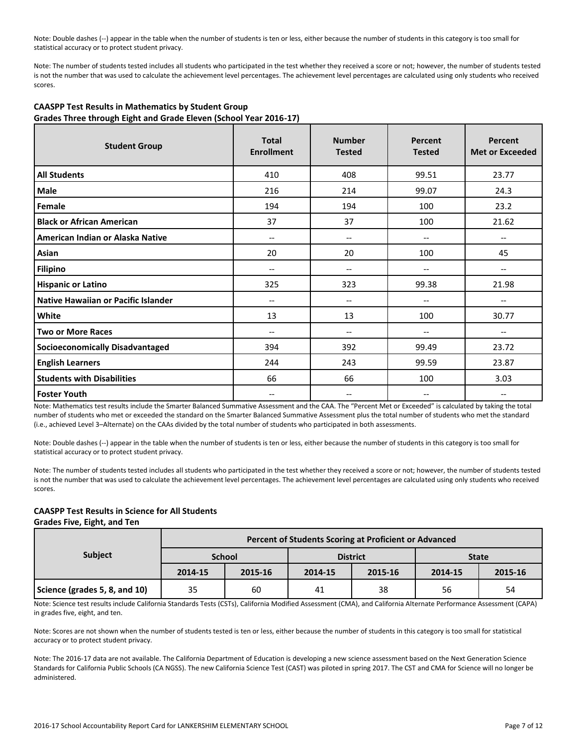Note: Double dashes (--) appear in the table when the number of students is ten or less, either because the number of students in this category is too small for statistical accuracy or to protect student privacy.

Note: The number of students tested includes all students who participated in the test whether they received a score or not; however, the number of students tested is not the number that was used to calculate the achievement level percentages. The achievement level percentages are calculated using only students who received scores.

| <b>Student Group</b>                   | <b>Total</b><br><b>Enrollment</b> | <b>Number</b><br><b>Tested</b> | Percent<br><b>Tested</b> | Percent<br><b>Met or Exceeded</b> |
|----------------------------------------|-----------------------------------|--------------------------------|--------------------------|-----------------------------------|
| <b>All Students</b>                    | 410                               | 408                            | 99.51                    | 23.77                             |
| Male                                   | 216                               | 214                            | 99.07                    | 24.3                              |
| Female                                 | 194                               | 194                            | 100                      | 23.2                              |
| <b>Black or African American</b>       | 37                                | 37                             | 100                      | 21.62                             |
| American Indian or Alaska Native       | --                                | $\overline{\phantom{a}}$       | --                       | --                                |
| Asian                                  | 20                                | 20                             | 100                      | 45                                |
| <b>Filipino</b>                        | --                                | --                             | --                       | --                                |
| <b>Hispanic or Latino</b>              | 325                               | 323                            | 99.38                    | 21.98                             |
| Native Hawaiian or Pacific Islander    | --                                | --                             |                          |                                   |
| White                                  | 13                                | 13                             | 100                      | 30.77                             |
| <b>Two or More Races</b>               | $-$                               | $\overline{\phantom{a}}$       | --                       | --                                |
| <b>Socioeconomically Disadvantaged</b> | 394                               | 392                            | 99.49                    | 23.72                             |
| <b>English Learners</b>                | 244                               | 243                            | 99.59                    | 23.87                             |
| <b>Students with Disabilities</b>      | 66                                | 66                             | 100                      | 3.03                              |
| <b>Foster Youth</b>                    |                                   | --                             |                          |                                   |

#### **CAASPP Test Results in Mathematics by Student Group Grades Three through Eight and Grade Eleven (School Year 2016-17)**

Note: Mathematics test results include the Smarter Balanced Summative Assessment and the CAA. The "Percent Met or Exceeded" is calculated by taking the total number of students who met or exceeded the standard on the Smarter Balanced Summative Assessment plus the total number of students who met the standard (i.e., achieved Level 3–Alternate) on the CAAs divided by the total number of students who participated in both assessments.

Note: Double dashes (--) appear in the table when the number of students is ten or less, either because the number of students in this category is too small for statistical accuracy or to protect student privacy.

Note: The number of students tested includes all students who participated in the test whether they received a score or not; however, the number of students tested is not the number that was used to calculate the achievement level percentages. The achievement level percentages are calculated using only students who received scores.

## **CAASPP Test Results in Science for All Students**

#### **Grades Five, Eight, and Ten**

|                               | Percent of Students Scoring at Proficient or Advanced |               |         |                 |              |         |  |  |  |
|-------------------------------|-------------------------------------------------------|---------------|---------|-----------------|--------------|---------|--|--|--|
| <b>Subject</b>                |                                                       | <b>School</b> |         | <b>District</b> | <b>State</b> |         |  |  |  |
|                               | 2014-15                                               | 2015-16       | 2014-15 | 2015-16         | 2014-15      | 2015-16 |  |  |  |
| Science (grades 5, 8, and 10) | 35                                                    | 60            | 41      | 38              | 56           | 54      |  |  |  |

Note: Science test results include California Standards Tests (CSTs), California Modified Assessment (CMA), and California Alternate Performance Assessment (CAPA) in grades five, eight, and ten.

Note: Scores are not shown when the number of students tested is ten or less, either because the number of students in this category is too small for statistical accuracy or to protect student privacy.

Note: The 2016-17 data are not available. The California Department of Education is developing a new science assessment based on the Next Generation Science Standards for California Public Schools (CA NGSS). The new California Science Test (CAST) was piloted in spring 2017. The CST and CMA for Science will no longer be administered.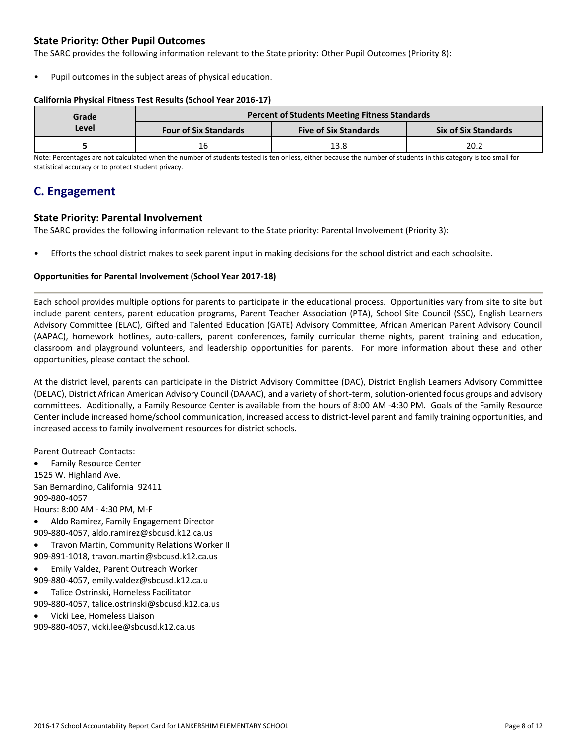## **State Priority: Other Pupil Outcomes**

The SARC provides the following information relevant to the State priority: Other Pupil Outcomes (Priority 8):

Pupil outcomes in the subject areas of physical education.

#### **California Physical Fitness Test Results (School Year 2016-17)**

| Grade                                 | Percent of Students Meeting Fitness Standards |                              |                             |  |  |  |
|---------------------------------------|-----------------------------------------------|------------------------------|-----------------------------|--|--|--|
| Level<br><b>Four of Six Standards</b> |                                               | <b>Five of Six Standards</b> | <b>Six of Six Standards</b> |  |  |  |
|                                       | 16                                            | 13.8                         | 20.2                        |  |  |  |

Note: Percentages are not calculated when the number of students tested is ten or less, either because the number of students in this category is too small for statistical accuracy or to protect student privacy.

# **C. Engagement**

### **State Priority: Parental Involvement**

The SARC provides the following information relevant to the State priority: Parental Involvement (Priority 3):

• Efforts the school district makes to seek parent input in making decisions for the school district and each schoolsite.

#### **Opportunities for Parental Involvement (School Year 2017-18)**

Each school provides multiple options for parents to participate in the educational process. Opportunities vary from site to site but include parent centers, parent education programs, Parent Teacher Association (PTA), School Site Council (SSC), English Learners Advisory Committee (ELAC), Gifted and Talented Education (GATE) Advisory Committee, African American Parent Advisory Council (AAPAC), homework hotlines, auto-callers, parent conferences, family curricular theme nights, parent training and education, classroom and playground volunteers, and leadership opportunities for parents. For more information about these and other opportunities, please contact the school.

At the district level, parents can participate in the District Advisory Committee (DAC), District English Learners Advisory Committee (DELAC), District African American Advisory Council (DAAAC), and a variety of short-term, solution-oriented focus groups and advisory committees. Additionally, a Family Resource Center is available from the hours of 8:00 AM -4:30 PM. Goals of the Family Resource Center include increased home/school communication, increased access to district-level parent and family training opportunities, and increased access to family involvement resources for district schools.

Parent Outreach Contacts:

 Family Resource Center 1525 W. Highland Ave. San Bernardino, California 92411 909-880-4057 Hours: 8:00 AM - 4:30 PM, M-F

- Aldo Ramirez, Family Engagement Director 909-880-4057, aldo.ramirez@sbcusd.k12.ca.us
- Travon Martin, Community Relations Worker II
- 909-891-1018, travon.martin@sbcusd.k12.ca.us
- Emily Valdez, Parent Outreach Worker 909-880-4057, emily.valdez@sbcusd.k12.ca.u
- Talice Ostrinski, Homeless Facilitator 909-880-4057, talice.ostrinski@sbcusd.k12.ca.us
- Vicki Lee, Homeless Liaison

909-880-4057, vicki.lee@sbcusd.k12.ca.us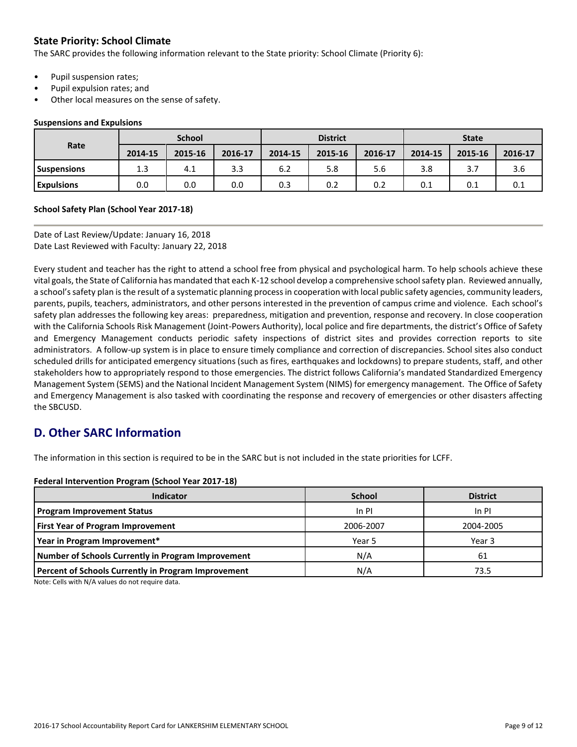# **State Priority: School Climate**

The SARC provides the following information relevant to the State priority: School Climate (Priority 6):

- Pupil suspension rates;
- Pupil expulsion rates; and
- Other local measures on the sense of safety.

#### **Suspensions and Expulsions**

|                    | <b>School</b> |         |         | <b>District</b> |         |         | <b>State</b> |         |         |
|--------------------|---------------|---------|---------|-----------------|---------|---------|--------------|---------|---------|
| Rate               | 2014-15       | 2015-16 | 2016-17 | 2014-15         | 2015-16 | 2016-17 | 2014-15      | 2015-16 | 2016-17 |
| <b>Suspensions</b> | 1.3           | 4.1     | 3.3     | 6.2             | 5.8     | 5.6     | 3.8          |         | 3.6     |
| <b>Expulsions</b>  | 0.0           | 0.0     | 0.0     | 0.3             | 0.2     | 0.2     | 0.1          | 0.1     | 0.1     |

#### **School Safety Plan (School Year 2017-18)**

Date of Last Review/Update: January 16, 2018 Date Last Reviewed with Faculty: January 22, 2018

Every student and teacher has the right to attend a school free from physical and psychological harm. To help schools achieve these vital goals, the State of California has mandated that each K-12 school develop a comprehensive school safety plan. Reviewed annually, a school's safety plan is the result of a systematic planning process in cooperation with local public safety agencies, community leaders, parents, pupils, teachers, administrators, and other persons interested in the prevention of campus crime and violence. Each school's safety plan addresses the following key areas: preparedness, mitigation and prevention, response and recovery. In close cooperation with the California Schools Risk Management (Joint-Powers Authority), local police and fire departments, the district's Office of Safety and Emergency Management conducts periodic safety inspections of district sites and provides correction reports to site administrators. A follow-up system is in place to ensure timely compliance and correction of discrepancies. School sites also conduct scheduled drills for anticipated emergency situations (such as fires, earthquakes and lockdowns) to prepare students, staff, and other stakeholders how to appropriately respond to those emergencies. The district follows California's mandated Standardized Emergency Management System (SEMS) and the National Incident Management System (NIMS) for emergency management. The Office of Safety and Emergency Management is also tasked with coordinating the response and recovery of emergencies or other disasters affecting the SBCUSD.

# **D. Other SARC Information**

The information in this section is required to be in the SARC but is not included in the state priorities for LCFF.

#### **Federal Intervention Program (School Year 2017-18)**

| <b>Indicator</b>                                           | <b>School</b> | <b>District</b> |
|------------------------------------------------------------|---------------|-----------------|
| <b>Program Improvement Status</b>                          | $In$ PI       | $In$ PI         |
| <b>First Year of Program Improvement</b>                   | 2006-2007     | 2004-2005       |
| Year in Program Improvement*                               | Year 5        | Year 3          |
| Number of Schools Currently in Program Improvement         | N/A           | 61              |
| <b>Percent of Schools Currently in Program Improvement</b> | N/A           | 73.5            |

Note: Cells with N/A values do not require data.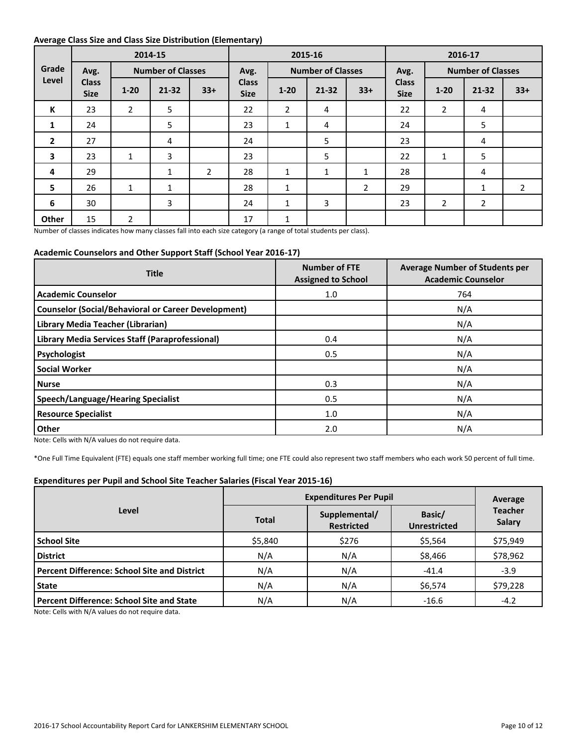#### **Average Class Size and Class Size Distribution (Elementary)**

|                         |                             |                | 2014-15                  |                | 2015-16                     |                          |              | 2016-17        |                             |                |                          |             |
|-------------------------|-----------------------------|----------------|--------------------------|----------------|-----------------------------|--------------------------|--------------|----------------|-----------------------------|----------------|--------------------------|-------------|
| Grade                   | Avg.                        |                | <b>Number of Classes</b> |                | Avg.                        | <b>Number of Classes</b> |              |                | Avg.                        |                | <b>Number of Classes</b> |             |
| Level                   | <b>Class</b><br><b>Size</b> | $1 - 20$       | $21 - 32$                | $33+$          | <b>Class</b><br><b>Size</b> | $1 - 20$                 | $21 - 32$    | $33+$          | <b>Class</b><br><b>Size</b> | $1 - 20$       | $21 - 32$                | $33+$       |
| К                       | 23                          | $\overline{2}$ | 5                        |                | 22                          | $\overline{2}$           | 4            |                | 22                          | $\overline{2}$ | 4                        |             |
| 1                       | 24                          |                | 5                        |                | 23                          | $\mathbf{1}$             | 4            |                | 24                          |                | 5                        |             |
| $\overline{2}$          | 27                          |                | 4                        |                | 24                          |                          | 5            |                | 23                          |                | 4                        |             |
| $\overline{\mathbf{3}}$ | 23                          | $\mathbf{1}$   | 3                        |                | 23                          |                          | 5            |                | 22                          | 1              | 5                        |             |
| 4                       | 29                          |                | $\mathbf{1}$             | $\overline{2}$ | 28                          | $\mathbf{1}$             | $\mathbf{1}$ | $\mathbf{1}$   | 28                          |                | 4                        |             |
| 5                       | 26                          | $\mathbf{1}$   | $\mathbf{1}$             |                | 28                          | $\mathbf{1}$             |              | $\overline{2}$ | 29                          |                | 1                        | $2^{\circ}$ |
| 6                       | 30                          |                | 3                        |                | 24                          | $\mathbf{1}$             | 3            |                | 23                          | $\overline{2}$ | $\overline{2}$           |             |
| Other                   | 15                          | $\overline{2}$ |                          |                | 17                          | $\mathbf{1}$             |              |                |                             |                |                          |             |

Number of classes indicates how many classes fall into each size category (a range of total students per class).

#### **Academic Counselors and Other Support Staff (School Year 2016-17)**

| <b>Title</b>                                               | <b>Number of FTE</b><br><b>Assigned to School</b> | <b>Average Number of Students per</b><br><b>Academic Counselor</b> |
|------------------------------------------------------------|---------------------------------------------------|--------------------------------------------------------------------|
| <b>Academic Counselor</b>                                  | 1.0                                               | 764                                                                |
| <b>Counselor (Social/Behavioral or Career Development)</b> |                                                   | N/A                                                                |
| Library Media Teacher (Librarian)                          |                                                   | N/A                                                                |
| <b>Library Media Services Staff (Paraprofessional)</b>     | 0.4                                               | N/A                                                                |
| Psychologist                                               | 0.5                                               | N/A                                                                |
| <b>Social Worker</b>                                       |                                                   | N/A                                                                |
| <b>Nurse</b>                                               | 0.3                                               | N/A                                                                |
| <b>Speech/Language/Hearing Specialist</b>                  | 0.5                                               | N/A                                                                |
| <b>Resource Specialist</b>                                 | 1.0                                               | N/A                                                                |
| Other                                                      | 2.0                                               | N/A                                                                |

Note: Cells with N/A values do not require data.

\*One Full Time Equivalent (FTE) equals one staff member working full time; one FTE could also represent two staff members who each work 50 percent of full time.

#### **Expenditures per Pupil and School Site Teacher Salaries (Fiscal Year 2015-16)**

|                                                     |              | Average                            |                               |                                 |  |
|-----------------------------------------------------|--------------|------------------------------------|-------------------------------|---------------------------------|--|
| Level                                               | <b>Total</b> | Supplemental/<br><b>Restricted</b> | Basic/<br><b>Unrestricted</b> | <b>Teacher</b><br><b>Salary</b> |  |
| <b>School Site</b>                                  | \$5,840      | \$276                              | \$5,564                       | \$75,949                        |  |
| <b>District</b>                                     | N/A          | N/A                                | \$8,466                       | \$78,962                        |  |
| <b>Percent Difference: School Site and District</b> | N/A          | N/A                                | $-41.4$                       | $-3.9$                          |  |
| <b>State</b>                                        | N/A          | N/A                                | \$6,574                       | \$79,228                        |  |
| <b>Percent Difference: School Site and State</b>    | N/A          | N/A                                | $-16.6$                       | $-4.2$                          |  |

Note: Cells with N/A values do not require data.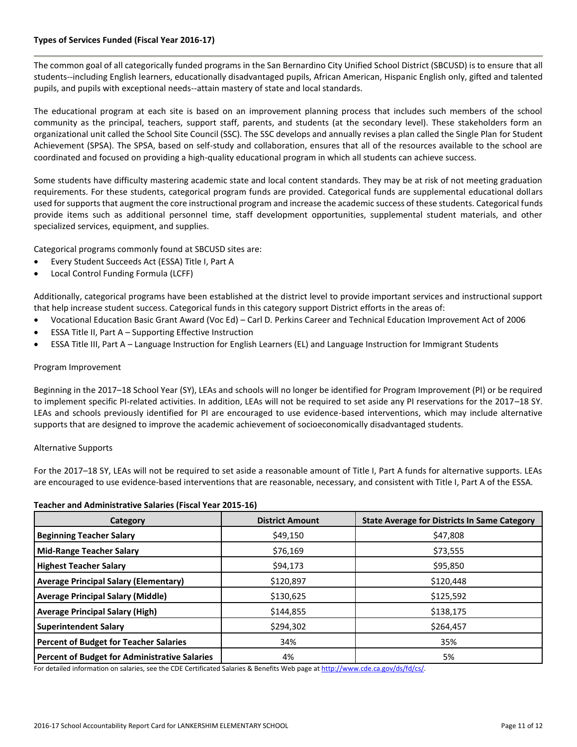#### **Types of Services Funded (Fiscal Year 2016-17)**

The common goal of all categorically funded programs in the San Bernardino City Unified School District (SBCUSD) is to ensure that all students--including English learners, educationally disadvantaged pupils, African American, Hispanic English only, gifted and talented pupils, and pupils with exceptional needs--attain mastery of state and local standards.

The educational program at each site is based on an improvement planning process that includes such members of the school community as the principal, teachers, support staff, parents, and students (at the secondary level). These stakeholders form an organizational unit called the School Site Council (SSC). The SSC develops and annually revises a plan called the Single Plan for Student Achievement (SPSA). The SPSA, based on self-study and collaboration, ensures that all of the resources available to the school are coordinated and focused on providing a high-quality educational program in which all students can achieve success.

Some students have difficulty mastering academic state and local content standards. They may be at risk of not meeting graduation requirements. For these students, categorical program funds are provided. Categorical funds are supplemental educational dollars used for supports that augment the core instructional program and increase the academic success of these students. Categorical funds provide items such as additional personnel time, staff development opportunities, supplemental student materials, and other specialized services, equipment, and supplies.

Categorical programs commonly found at SBCUSD sites are:

- Every Student Succeeds Act (ESSA) Title I, Part A
- Local Control Funding Formula (LCFF)

Additionally, categorical programs have been established at the district level to provide important services and instructional support that help increase student success. Categorical funds in this category support District efforts in the areas of:

- Vocational Education Basic Grant Award (Voc Ed) Carl D. Perkins Career and Technical Education Improvement Act of 2006
- ESSA Title II, Part A Supporting Effective Instruction
- ESSA Title III, Part A Language Instruction for English Learners (EL) and Language Instruction for Immigrant Students

#### Program Improvement

Beginning in the 2017–18 School Year (SY), LEAs and schools will no longer be identified for Program Improvement (PI) or be required to implement specific PI-related activities. In addition, LEAs will not be required to set aside any PI reservations for the 2017–18 SY. LEAs and schools previously identified for PI are encouraged to use evidence-based interventions, which may include alternative supports that are designed to improve the academic achievement of socioeconomically disadvantaged students.

#### Alternative Supports

For the 2017–18 SY, LEAs will not be required to set aside a reasonable amount of Title I, Part A funds for alternative supports. LEAs are encouraged to use evidence-based interventions that are reasonable, necessary, and consistent with Title I, Part A of the ESSA.

#### **Teacher and Administrative Salaries (Fiscal Year 2015-16)**

| Category                                      | <b>District Amount</b> | <b>State Average for Districts In Same Category</b> |
|-----------------------------------------------|------------------------|-----------------------------------------------------|
| <b>Beginning Teacher Salary</b>               | \$49,150               | \$47,808                                            |
| <b>Mid-Range Teacher Salary</b>               | \$76,169               | \$73,555                                            |
| <b>Highest Teacher Salary</b>                 | \$94,173               | \$95,850                                            |
| <b>Average Principal Salary (Elementary)</b>  | \$120,897              | \$120,448                                           |
| <b>Average Principal Salary (Middle)</b>      | \$130,625              | \$125,592                                           |
| <b>Average Principal Salary (High)</b>        | \$144,855              | \$138,175                                           |
| <b>Superintendent Salary</b>                  | \$294,302              | \$264,457                                           |
| <b>Percent of Budget for Teacher Salaries</b> | 34%                    | 35%                                                 |
| Percent of Budget for Administrative Salaries | 4%                     | 5%                                                  |

For detailed information on salaries, see the CDE Certificated Salaries & Benefits Web page a[t http://www.cde.ca.gov/ds/fd/cs/.](http://www.cde.ca.gov/ds/fd/cs/)